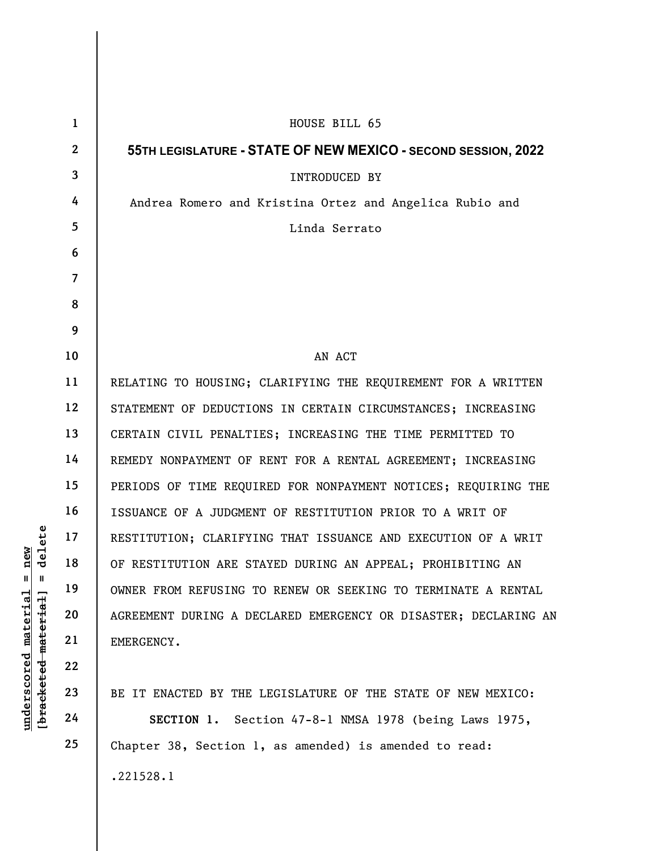| delete<br>new<br>$\mathsf{II}$<br>Ш                         | $\mathbf{1}$    | HOUSE BILL 65                                                   |
|-------------------------------------------------------------|-----------------|-----------------------------------------------------------------|
|                                                             | $\mathbf{2}$    | 55TH LEGISLATURE - STATE OF NEW MEXICO - SECOND SESSION, 2022   |
|                                                             | $\mathbf{3}$    | INTRODUCED BY                                                   |
|                                                             | 4               | Andrea Romero and Kristina Ortez and Angelica Rubio and         |
|                                                             | $5\overline{)}$ | Linda Serrato                                                   |
|                                                             | 6               |                                                                 |
|                                                             | $\overline{7}$  |                                                                 |
|                                                             | 8               |                                                                 |
|                                                             | 9               |                                                                 |
|                                                             | 10              | AN ACT                                                          |
|                                                             | 11              | RELATING TO HOUSING; CLARIFYING THE REQUIREMENT FOR A WRITTEN   |
|                                                             | 12              | STATEMENT OF DEDUCTIONS IN CERTAIN CIRCUMSTANCES; INCREASING    |
|                                                             | 13              | CERTAIN CIVIL PENALTIES; INCREASING THE TIME PERMITTED TO       |
|                                                             | 14              | REMEDY NONPAYMENT OF RENT FOR A RENTAL AGREEMENT; INCREASING    |
|                                                             | 15              | PERIODS OF TIME REQUIRED FOR NONPAYMENT NOTICES; REQUIRING THE  |
|                                                             | 16              | ISSUANCE OF A JUDGMENT OF RESTITUTION PRIOR TO A WRIT OF        |
|                                                             | 17              | RESTITUTION; CLARIFYING THAT ISSUANCE AND EXECUTION OF A WRIT   |
|                                                             | 18              | OF RESTITUTION ARE STAYED DURING AN APPEAL; PROHIBITING AN      |
|                                                             | 19              | OWNER FROM REFUSING TO RENEW OR SEEKING TO TERMINATE A RENTAL   |
|                                                             | 20              | AGREEMENT DURING A DECLARED EMERGENCY OR DISASTER; DECLARING AN |
|                                                             | 21              | EMERGENCY.                                                      |
|                                                             | 22              |                                                                 |
|                                                             | 23              | BE IT ENACTED BY THE LEGISLATURE OF THE STATE OF NEW MEXICO:    |
| $underscored$ material<br>[ <del>bracketed material</del> ] | 24              | SECTION 1. Section 47-8-1 NMSA 1978 (being Laws 1975,           |
|                                                             | 25              | Chapter 38, Section 1, as amended) is amended to read:          |
|                                                             |                 | .221528.1                                                       |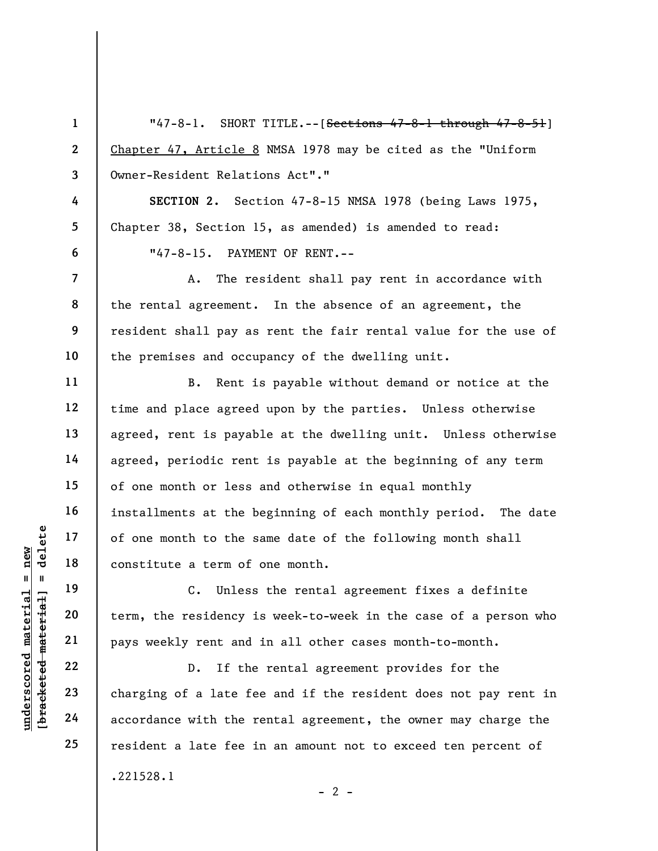|                                   | $\mathbf{1}$             | "47-8-1. SHORT TITLE.--[ <del>Sections 47-8-1 through 47-8-51</del> ] |
|-----------------------------------|--------------------------|-----------------------------------------------------------------------|
|                                   | $\mathbf{2}$             | Chapter 47, Article 8 NMSA 1978 may be cited as the "Uniform          |
|                                   | 3                        | Owner-Resident Relations Act"."                                       |
|                                   | 4                        | SECTION 2. Section 47-8-15 NMSA 1978 (being Laws 1975,                |
|                                   | 5                        | Chapter 38, Section 15, as amended) is amended to read:               |
|                                   | 6                        | "47-8-15. PAYMENT OF RENT.--                                          |
|                                   | $\overline{\mathcal{L}}$ | The resident shall pay rent in accordance with<br>A.                  |
|                                   | 8<br>9                   | the rental agreement. In the absence of an agreement, the             |
|                                   |                          | resident shall pay as rent the fair rental value for the use of       |
|                                   | 10                       | the premises and occupancy of the dwelling unit.                      |
|                                   | 11                       | Rent is payable without demand or notice at the<br>B.                 |
|                                   | 12                       | time and place agreed upon by the parties. Unless otherwise           |
|                                   | 13                       | agreed, rent is payable at the dwelling unit. Unless otherwise        |
|                                   | 14                       | agreed, periodic rent is payable at the beginning of any term         |
|                                   | 15                       | of one month or less and otherwise in equal monthly                   |
|                                   | 16                       | installments at the beginning of each monthly period. The date        |
| delete                            | 17                       | of one month to the same date of the following month shall            |
| new                               | 18                       | constitute a term of one month.                                       |
| Ш<br>H                            | 19                       | C. Unless the rental agreement fixes a definite                       |
|                                   | 20                       | term, the residency is week-to-week in the case of a person who       |
| [ <del>bracketed material</del> ] | 21                       | pays weekly rent and in all other cases month-to-month.               |
| underscored material              | 22                       | If the rental agreement provides for the<br>$D$ .                     |
|                                   | 23                       | charging of a late fee and if the resident does not pay rent in       |
|                                   | 24                       | accordance with the rental agreement, the owner may charge the        |
|                                   | 25                       | resident a late fee in an amount not to exceed ten percent of         |
|                                   |                          | .221528.1                                                             |

 $- 2 -$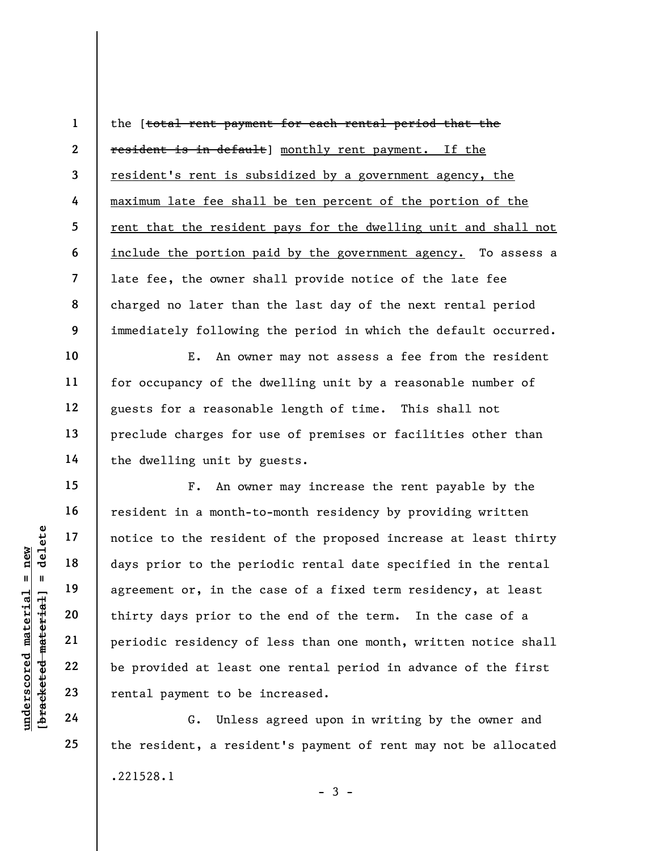1 2 3 4 5 6 7 8 9 the [total rent payment for each rental period that the resident is in default] monthly rent payment. If the resident's rent is subsidized by a government agency, the maximum late fee shall be ten percent of the portion of the rent that the resident pays for the dwelling unit and shall not include the portion paid by the government agency. To assess a late fee, the owner shall provide notice of the late fee charged no later than the last day of the next rental period immediately following the period in which the default occurred.

E. An owner may not assess a fee from the resident for occupancy of the dwelling unit by a reasonable number of guests for a reasonable length of time. This shall not preclude charges for use of premises or facilities other than the dwelling unit by guests.

understand material external payer of the series of the periodic resident of the periodic residency of the periodic residency of the periodic residency of the periodic residency of the periodic residency of the periodic re F. An owner may increase the rent payable by the resident in a month-to-month residency by providing written notice to the resident of the proposed increase at least thirty days prior to the periodic rental date specified in the rental agreement or, in the case of a fixed term residency, at least thirty days prior to the end of the term. In the case of a periodic residency of less than one month, written notice shall be provided at least one rental period in advance of the first rental payment to be increased.

G. Unless agreed upon in writing by the owner and the resident, a resident's payment of rent may not be allocated .221528.1  $-3 -$ 

10

11

12

13

14

15

16

17

18

19

20

21

22

23

24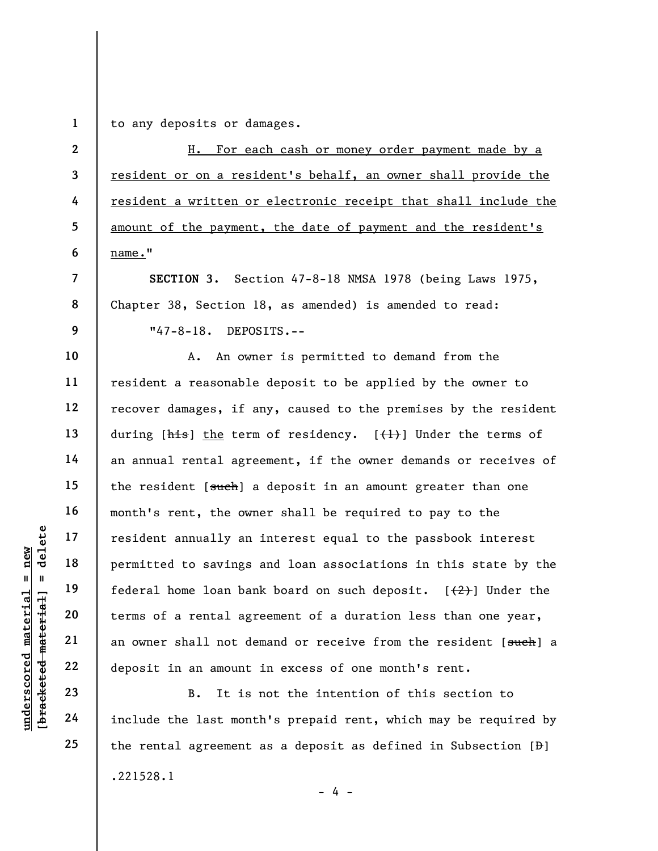1 to any deposits or damages.

2 3 4 5 6 H. For each cash or money order payment made by a resident or on a resident's behalf, an owner shall provide the resident a written or electronic receipt that shall include the amount of the payment, the date of payment and the resident's name."

SECTION 3. Section 47-8-18 NMSA 1978 (being Laws 1975, Chapter 38, Section 18, as amended) is amended to read: "47-8-18. DEPOSITS.--

underscored material = new [bracketed material] = delete A. An owner is permitted to demand from the resident a reasonable deposit to be applied by the owner to recover damages, if any, caused to the premises by the resident during  $[\frac{h}{h}$  the term of residency.  $[\frac{h}{h}]$  Under the terms of an annual rental agreement, if the owner demands or receives of the resident [such] a deposit in an amount greater than one month's rent, the owner shall be required to pay to the resident annually an interest equal to the passbook interest permitted to savings and loan associations in this state by the federal home loan bank board on such deposit.  $[2]$  Under the terms of a rental agreement of a duration less than one year, an owner shall not demand or receive from the resident [such] a deposit in an amount in excess of one month's rent.

B. It is not the intention of this section to include the last month's prepaid rent, which may be required by the rental agreement as a deposit as defined in Subsection  $[\frac{1}{p}]$ .221528.1  $- 4 -$ 

7

8

9

10

11

12

13

14

15

16

17

18

19

20

21

22

23

24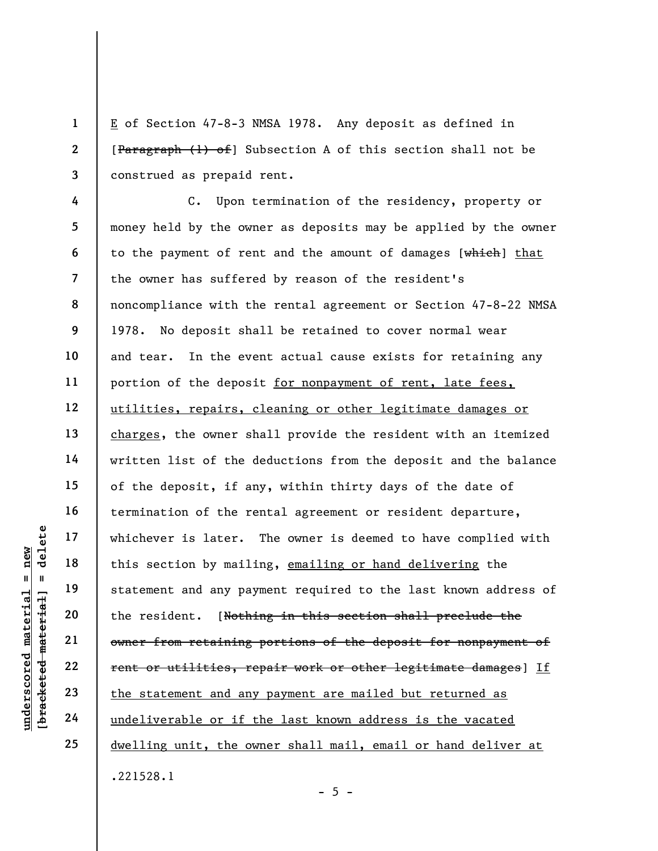E of Section 47-8-3 NMSA 1978. Any deposit as defined in [Paragraph (1) of] Subsection A of this section shall not be construed as prepaid rent.

underschieden material et al.<br>
19 and 19 and 19 and 19 and 19 and 19 and 19 and 19 and 19 and 19 and 19 and 19 and 19 and 19 and 19 and 19 and 19 and 19 and 19 and 19 and 19 and 19 and 19 and 19 and 19 and 19 and 19 and 19 4 5 6 7 8 9 10 11 12 13 14 15 16 17 18 19 20 21 22 23 24 25 C. Upon termination of the residency, property or money held by the owner as deposits may be applied by the owner to the payment of rent and the amount of damages [which] that the owner has suffered by reason of the resident's noncompliance with the rental agreement or Section 47-8-22 NMSA 1978. No deposit shall be retained to cover normal wear and tear. In the event actual cause exists for retaining any portion of the deposit for nonpayment of rent, late fees, utilities, repairs, cleaning or other legitimate damages or charges, the owner shall provide the resident with an itemized written list of the deductions from the deposit and the balance of the deposit, if any, within thirty days of the date of termination of the rental agreement or resident departure, whichever is later. The owner is deemed to have complied with this section by mailing, emailing or hand delivering the statement and any payment required to the last known address of the resident. [Nothing in this section shall preclude the owner from retaining portions of the deposit for nonpayment of rent or utilities, repair work or other legitimate damages] If the statement and any payment are mailed but returned as undeliverable or if the last known address is the vacated dwelling unit, the owner shall mail, email or hand deliver at .221528.1

1

2

3

 $- 5 -$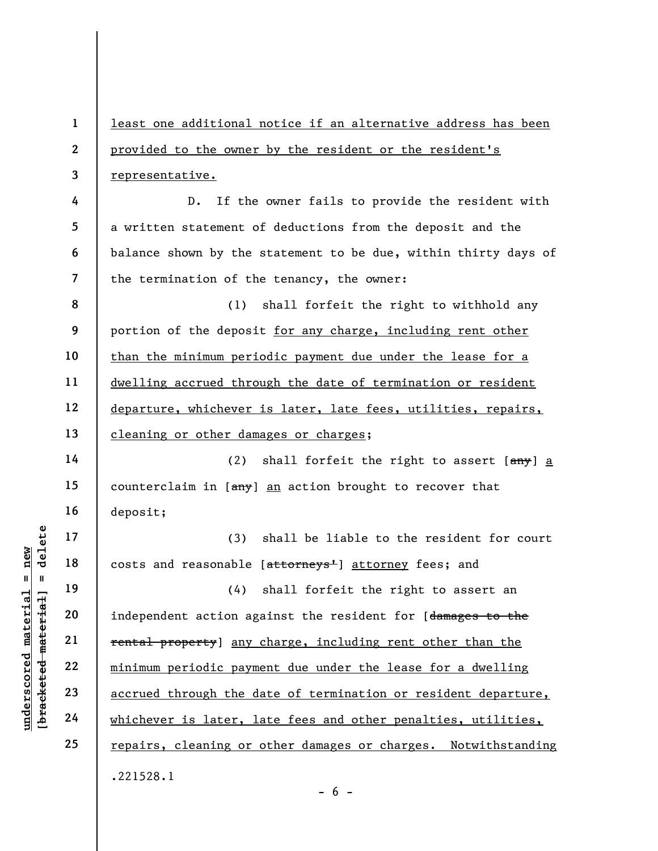underschied material material extend through the distribution of the costs and reasonable<br>distribution age of the costs and reasonable<br>distribution age of the costs and reasonable<br>independent action age<br>of the costs and re 1 2 3 4 5 6 7 8 9 10 11 12 13 14 15 16 17 18 19 20 21 22 23 24 25 least one additional notice if an alternative address has been provided to the owner by the resident or the resident's representative. D. If the owner fails to provide the resident with a written statement of deductions from the deposit and the balance shown by the statement to be due, within thirty days of the termination of the tenancy, the owner: (1) shall forfeit the right to withhold any portion of the deposit for any charge, including rent other than the minimum periodic payment due under the lease for a dwelling accrued through the date of termination or resident departure, whichever is later, late fees, utilities, repairs, cleaning or other damages or charges; (2) shall forfeit the right to assert  $[3.8]$  a counterclaim in [ $\frac{amy}{am}$ ] an action brought to recover that deposit; (3) shall be liable to the resident for court costs and reasonable [attorneys<sup>1</sup>] attorney fees; and (4) shall forfeit the right to assert an independent action against the resident for [damages to the rental property] any charge, including rent other than the minimum periodic payment due under the lease for a dwelling accrued through the date of termination or resident departure, whichever is later, late fees and other penalties, utilities, repairs, cleaning or other damages or charges. Notwithstanding .221528.1

 $- 6 -$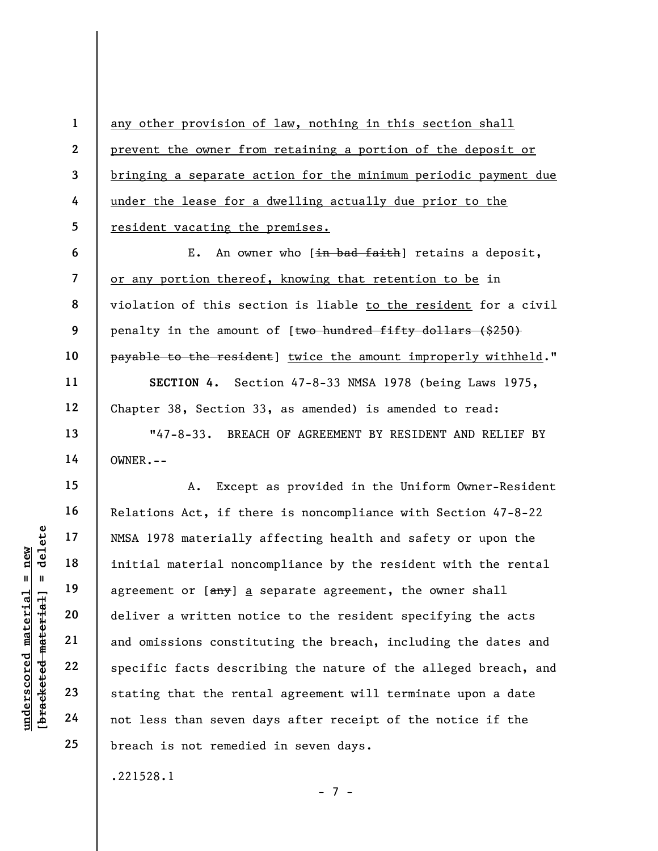any other provision of law, nothing in this section shall prevent the owner from retaining a portion of the deposit or bringing a separate action for the minimum periodic payment due under the lease for a dwelling actually due prior to the resident vacating the premises.

E. An owner who [in bad faith] retains a deposit, or any portion thereof, knowing that retention to be in violation of this section is liable to the resident for a civil penalty in the amount of [two hundred fifty dollars (\$250) payable to the resident] twice the amount improperly withheld."

SECTION 4. Section 47-8-33 NMSA 1978 (being Laws 1975, Chapter 38, Section 33, as amended) is amended to read:

"47-8-33. BREACH OF AGREEMENT BY RESIDENT AND RELIEF BY OWNER.--

underscored material = new [bracketed material] = delete A. Except as provided in the Uniform Owner-Resident Relations Act, if there is noncompliance with Section 47-8-22 NMSA 1978 materially affecting health and safety or upon the initial material noncompliance by the resident with the rental agreement or  $[\frac{any}{2}]$  a separate agreement, the owner shall deliver a written notice to the resident specifying the acts and omissions constituting the breach, including the dates and specific facts describing the nature of the alleged breach, and stating that the rental agreement will terminate upon a date not less than seven days after receipt of the notice if the breach is not remedied in seven days.

.221528.1

1

2

3

4

5

6

7

8

9

10

11

12

13

14

15

16

17

18

19

20

21

22

23

24

25

- 7 -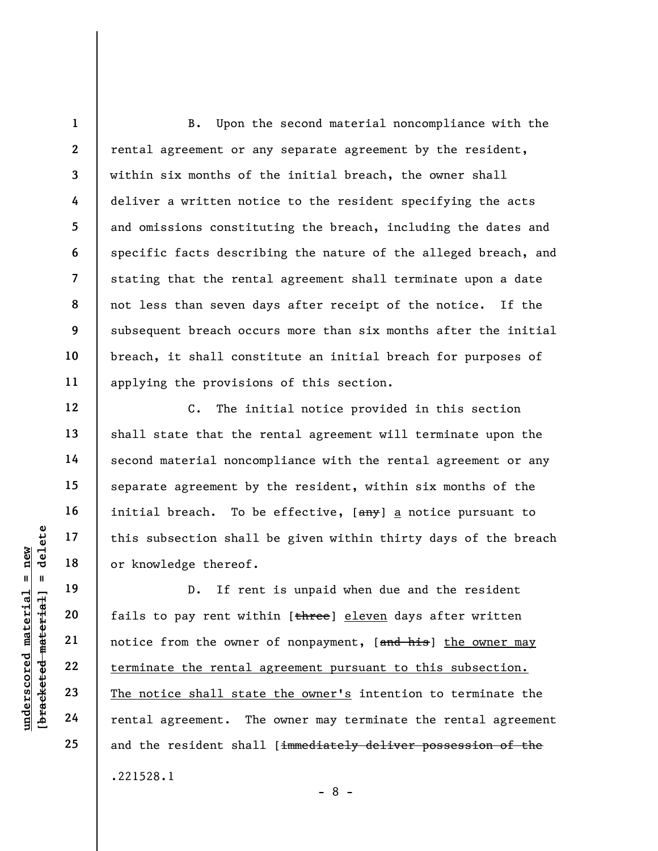8 B. Upon the second material noncompliance with the rental agreement or any separate agreement by the resident, within six months of the initial breach, the owner shall deliver a written notice to the resident specifying the acts and omissions constituting the breach, including the dates and specific facts describing the nature of the alleged breach, and stating that the rental agreement shall terminate upon a date not less than seven days after receipt of the notice. If the subsequent breach occurs more than six months after the initial breach, it shall constitute an initial breach for purposes of applying the provisions of this section.

C. The initial notice provided in this section shall state that the rental agreement will terminate upon the second material noncompliance with the rental agreement or any separate agreement by the resident, within six months of the initial breach. To be effective, [any] a notice pursuant to this subsection shall be given within thirty days of the breach or knowledge thereof.

underscored material = new [bracketed material] = delete D. If rent is unpaid when due and the resident fails to pay rent within [three] eleven days after written notice from the owner of nonpayment, [and his] the owner may terminate the rental agreement pursuant to this subsection. The notice shall state the owner's intention to terminate the rental agreement. The owner may terminate the rental agreement and the resident shall [immediately deliver possession of the .221528.1

- 8 -

1

2

3

4

5

6

7

9

10

11

12

13

14

15

16

17

18

19

20

21

22

23

24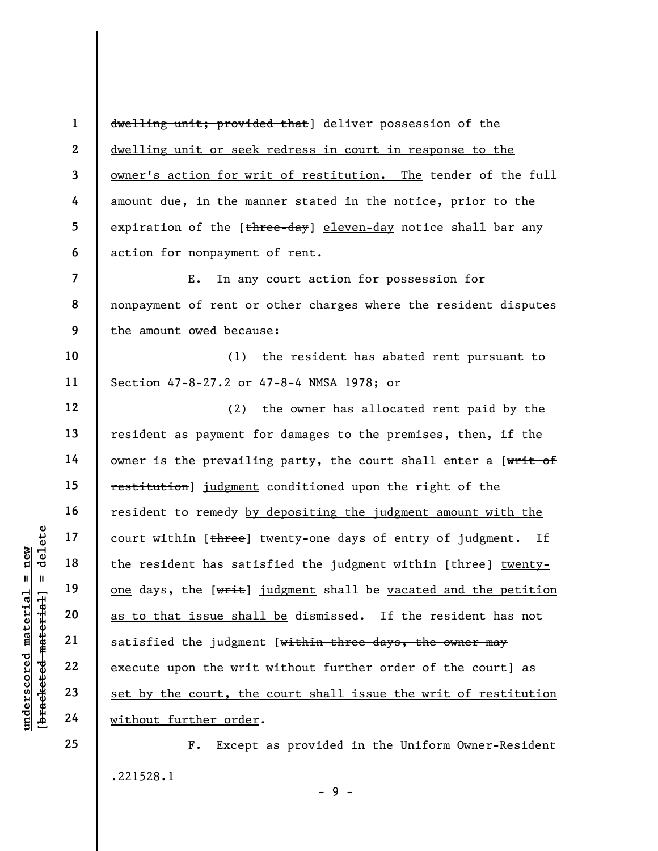1 2 3 4 5 6 dwelling unit; provided that] deliver possession of the dwelling unit or seek redress in court in response to the owner's action for writ of restitution. The tender of the full amount due, in the manner stated in the notice, prior to the expiration of the [three-day] eleven-day notice shall bar any action for nonpayment of rent.

7 8 9 E. In any court action for possession for nonpayment of rent or other charges where the resident disputes the amount owed because:

10 11 (1) the resident has abated rent pursuant to Section 47-8-27.2 or 47-8-4 NMSA 1978; or

under 17<br>
under 18<br>
under 19<br>
under 19<br>
20<br>
under 19<br>
21<br>
under 19<br>
22<br>
23<br>
under 19<br>
24<br>
under 19<br>
under 19<br>
under 19<br>
under 19<br>
under 19<br>
under 19<br>
under 19<br>
under 19<br>
under 19<br>
under 19<br>
under 19<br>
under 19<br>
under 19<br>
un 12 13 14 15 16 17 18 19 20 21 22 23 24 (2) the owner has allocated rent paid by the resident as payment for damages to the premises, then, if the owner is the prevailing party, the court shall enter a [writ of restitution] judgment conditioned upon the right of the resident to remedy by depositing the judgment amount with the court within [three] twenty-one days of entry of judgment. If the resident has satisfied the judgment within [three] twentyone days, the [writ] judgment shall be vacated and the petition as to that issue shall be dismissed. If the resident has not satisfied the judgment [within three days, the owner may execute upon the writ without further order of the court] as set by the court, the court shall issue the writ of restitution without further order.

> F. Except as provided in the Uniform Owner-Resident .221528.1

25

 $-9 -$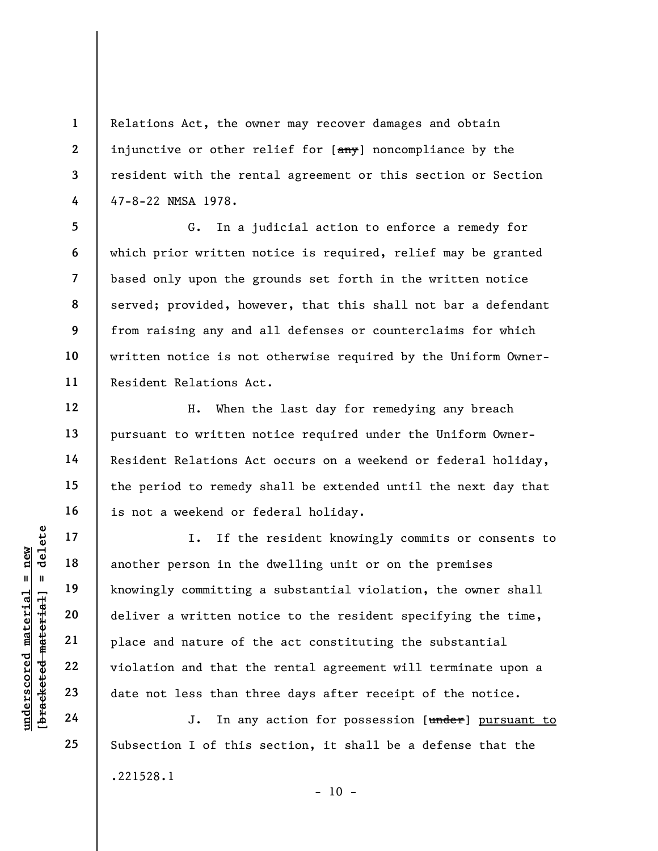Relations Act, the owner may recover damages and obtain injunctive or other relief for [any] noncompliance by the resident with the rental agreement or this section or Section 47-8-22 NMSA 1978.

8 9 G. In a judicial action to enforce a remedy for which prior written notice is required, relief may be granted based only upon the grounds set forth in the written notice served; provided, however, that this shall not bar a defendant from raising any and all defenses or counterclaims for which written notice is not otherwise required by the Uniform Owner-Resident Relations Act.

H. When the last day for remedying any breach pursuant to written notice required under the Uniform Owner-Resident Relations Act occurs on a weekend or federal holiday, the period to remedy shall be extended until the next day that is not a weekend or federal holiday.

under 17<br>
under 18<br>
another person in the<br>
knowingly committing<br>
deliver a written not<br>
place and nature of t<br>
violation and that th<br>
23<br>
date not less than th<br>
24<br>
J. In any I. If the resident knowingly commits or consents to another person in the dwelling unit or on the premises knowingly committing a substantial violation, the owner shall deliver a written notice to the resident specifying the time, place and nature of the act constituting the substantial violation and that the rental agreement will terminate upon a date not less than three days after receipt of the notice.

J. In any action for possession [under] pursuant to Subsection I of this section, it shall be a defense that the .221528.1  $- 10 -$ 

1

2

3

4

5

6

7

10

11

12

13

14

15

16

17

18

19

20

21

22

23

24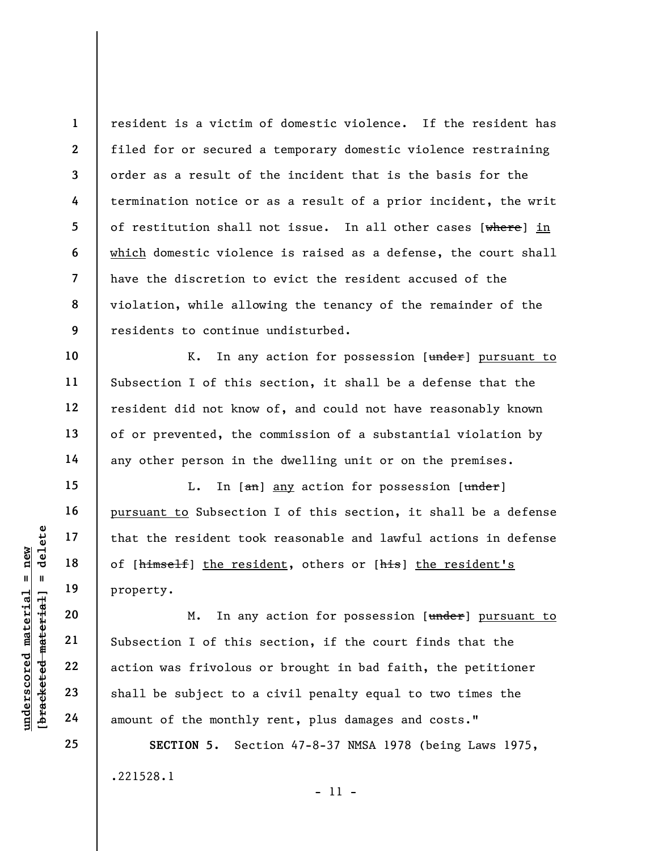1 2 3 4 5 6 7 8 9 resident is a victim of domestic violence. If the resident has filed for or secured a temporary domestic violence restraining order as a result of the incident that is the basis for the termination notice or as a result of a prior incident, the writ of restitution shall not issue. In all other cases [where] in which domestic violence is raised as a defense, the court shall have the discretion to evict the resident accused of the violation, while allowing the tenancy of the remainder of the residents to continue undisturbed.

K. In any action for possession [under] pursuant to Subsection I of this section, it shall be a defense that the resident did not know of, and could not have reasonably known of or prevented, the commission of a substantial violation by any other person in the dwelling unit or on the premises.

L. In  $[\frac{an}{an}]$  any action for possession  $[\frac{under}{ad}]$ pursuant to Subsection I of this section, it shall be a defense that the resident took reasonable and lawful actions in defense of [himself] the resident, others or [his] the resident's property.

understand material that the resident too of [himself] the resident too of [himself] the resident of the resident of this property.<br>
We can be also to meet to a serive of this action was frivolous and 23 and the subject to M. In any action for possession [under] pursuant to Subsection I of this section, if the court finds that the action was frivolous or brought in bad faith, the petitioner shall be subject to a civil penalty equal to two times the amount of the monthly rent, plus damages and costs."

> SECTION 5. Section 47-8-37 NMSA 1978 (being Laws 1975, .221528.1 - 11 -

10

11

12

13

14

15

16

17

18

19

20

21

22

23

24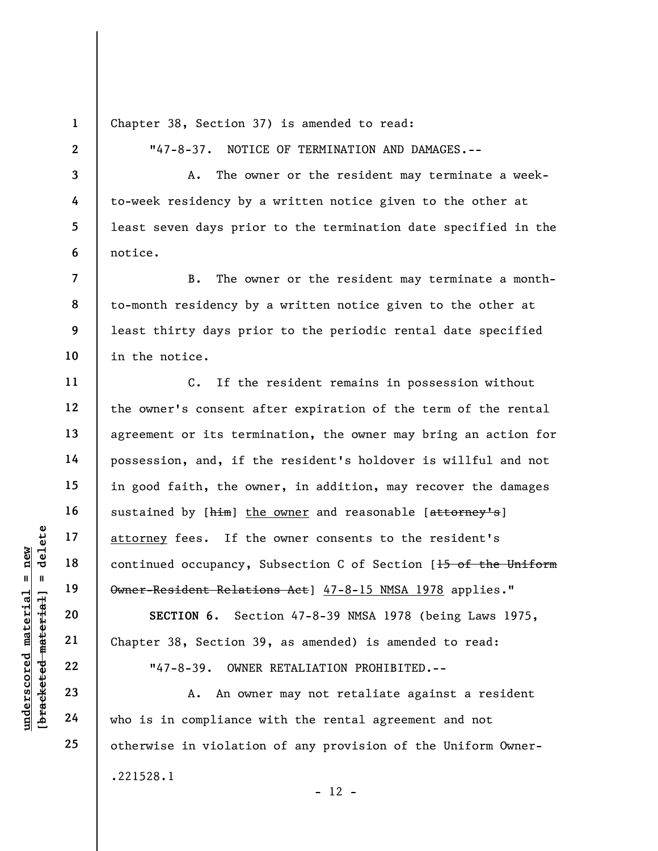1 Chapter 38, Section 37) is amended to read:

"47-8-37. NOTICE OF TERMINATION AND DAMAGES.--

A. The owner or the resident may terminate a weekto-week residency by a written notice given to the other at least seven days prior to the termination date specified in the notice.

B. The owner or the resident may terminate a monthto-month residency by a written notice given to the other at least thirty days prior to the periodic rental date specified in the notice.

underscored material = new [bracketed material] = delete C. If the resident remains in possession without the owner's consent after expiration of the term of the rental agreement or its termination, the owner may bring an action for possession, and, if the resident's holdover is willful and not in good faith, the owner, in addition, may recover the damages sustained by [him] the owner and reasonable [attorney's] attorney fees. If the owner consents to the resident's continued occupancy, Subsection C of Section [15 of the Uniform Owner-Resident Relations Act] 47-8-15 NMSA 1978 applies."

SECTION 6. Section 47-8-39 NMSA 1978 (being Laws 1975, Chapter 38, Section 39, as amended) is amended to read:

"47-8-39. OWNER RETALIATION PROHIBITED.--

A. An owner may not retaliate against a resident who is in compliance with the rental agreement and not otherwise in violation of any provision of the Uniform Owner- .221528.1  $- 12 -$ 

2

3

4

5

6

7

8

9

10

11

12

13

14

15

16

17

18

19

20

21

22

23

24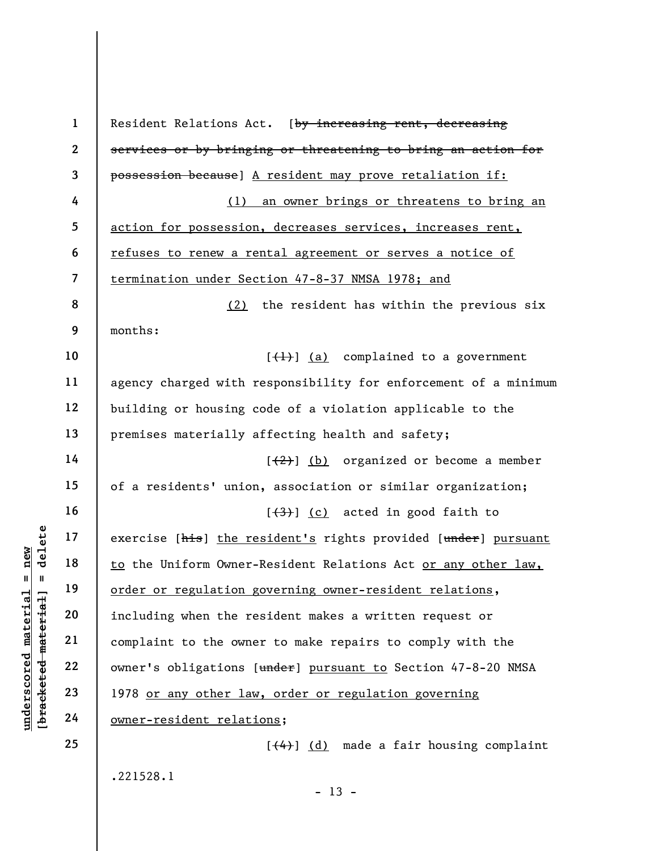understand material spaces is the complete that and the Uniform Owner-<br>
under the Uniform Owner-<br>
order or regulation g<br>
including when the re<br>
complaint to the owner<br>
22<br>
under the Uniform Owner-<br>
22<br>
23<br>
1978 <u>or any oth</u> 1 2 3 4 5 6 7 8 9 10 11 12 13 14 15 16 17 18 19 20 21 22 23 24 25 Resident Relations Act. [by increasing rent, decreasing services or by bringing or threatening to bring an action for possession because] A resident may prove retaliation if: (1) an owner brings or threatens to bring an action for possession, decreases services, increases rent, refuses to renew a rental agreement or serves a notice of termination under Section 47-8-37 NMSA 1978; and (2) the resident has within the previous six months:  $[\frac{1}{1}]$  (a) complained to a government agency charged with responsibility for enforcement of a minimum building or housing code of a violation applicable to the premises materially affecting health and safety;  $[\frac{2}{2}]$  (b) organized or become a member of a residents' union, association or similar organization;  $[\frac{(3)}{3}]$  (c) acted in good faith to exercise [his] the resident's rights provided [under] pursuant to the Uniform Owner-Resident Relations Act or any other law, order or regulation governing owner-resident relations, including when the resident makes a written request or complaint to the owner to make repairs to comply with the owner's obligations [under] pursuant to Section 47-8-20 NMSA 1978 or any other law, order or regulation governing owner-resident relations;  $[\frac{4}{4}]$  (d) made a fair housing complaint

.221528.1

 $- 13 -$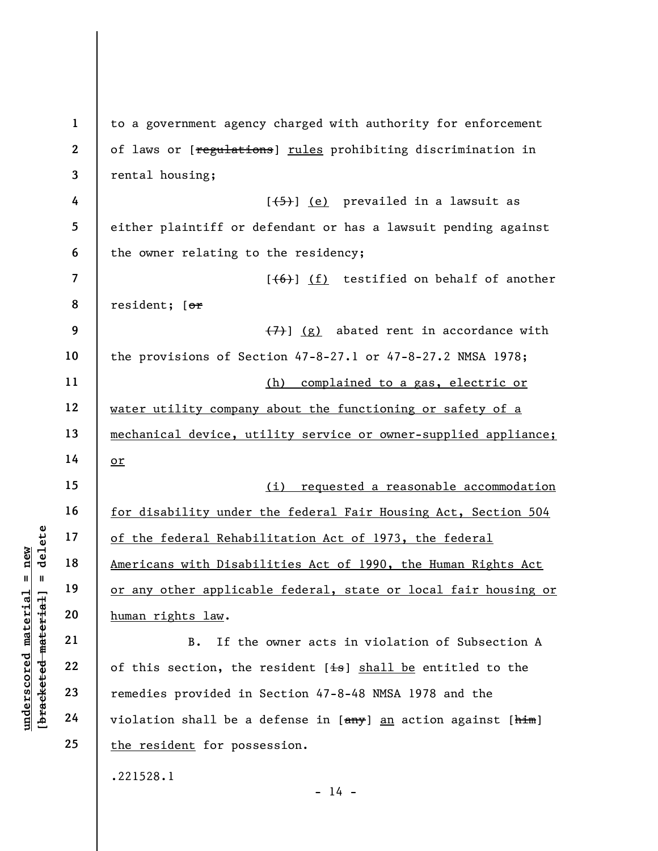underscored material = new [bracketed material] = delete 1 2 3 4 5 6 7 8 9 10 11 12 13 14 15 16 17 18 19 20 21 22 23 24 25 to a government agency charged with authority for enforcement of laws or [regulations] rules prohibiting discrimination in rental housing;  $[\frac{1}{5}]$  (e) prevailed in a lawsuit as either plaintiff or defendant or has a lawsuit pending against the owner relating to the residency;  $[ (6) ]$  (f) testified on behalf of another resident; [or  $(7)$ ] (g) abated rent in accordance with the provisions of Section 47-8-27.1 or 47-8-27.2 NMSA 1978; (h) complained to a gas, electric or water utility company about the functioning or safety of a mechanical device, utility service or owner-supplied appliance; or (i) requested a reasonable accommodation for disability under the federal Fair Housing Act, Section 504 of the federal Rehabilitation Act of 1973, the federal Americans with Disabilities Act of 1990, the Human Rights Act or any other applicable federal, state or local fair housing or human rights law. B. If the owner acts in violation of Subsection A of this section, the resident  $[i]$  shall be entitled to the remedies provided in Section 47-8-48 NMSA 1978 and the violation shall be a defense in [any] an action against [him] the resident for possession. .221528.1

 $- 14 -$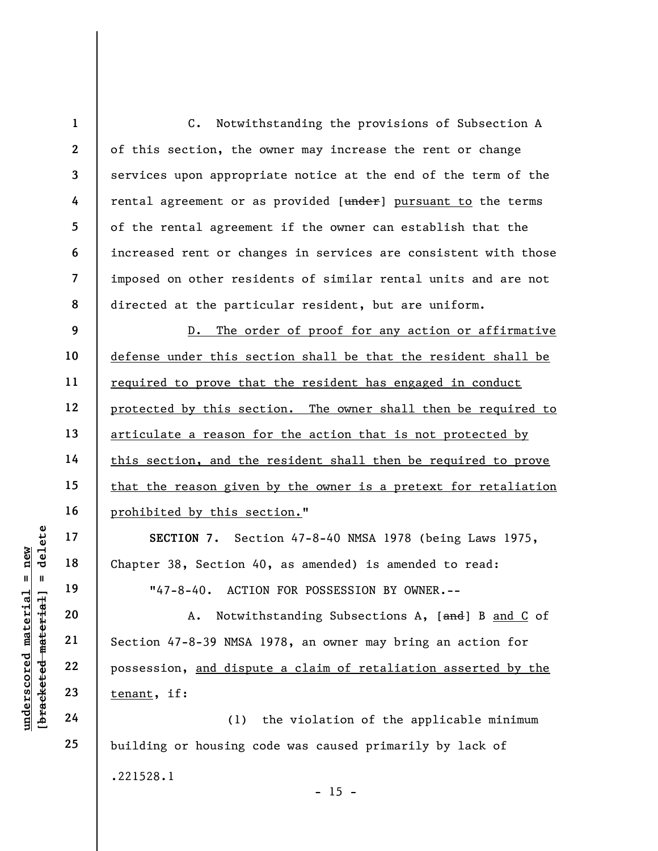1 2 3 4 5 6 7 8 9 C. Notwithstanding the provisions of Subsection A of this section, the owner may increase the rent or change services upon appropriate notice at the end of the term of the rental agreement or as provided [under] pursuant to the terms of the rental agreement if the owner can establish that the increased rent or changes in services are consistent with those imposed on other residents of similar rental units and are not directed at the particular resident, but are uniform. D. The order of proof for any action or affirmative

defense under this section shall be that the resident shall be required to prove that the resident has engaged in conduct protected by this section. The owner shall then be required to articulate a reason for the action that is not protected by this section, and the resident shall then be required to prove that the reason given by the owner is a pretext for retaliation prohibited by this section."

SECTION 7. Section 47-8-40 NMSA 1978 (being Laws 1975, Chapter 38, Section 40, as amended) is amended to read: "47-8-40. ACTION FOR POSSESSION BY OWNER.--

underscored material = new [bracketed material] = delete A. Notwithstanding Subsections A, [and] B and C of Section 47-8-39 NMSA 1978, an owner may bring an action for possession, and dispute a claim of retaliation asserted by the tenant, if:

(1) the violation of the applicable minimum building or housing code was caused primarily by lack of .221528.1  $- 15 -$ 

23 24

25

10

11

12

13

14

15

16

17

18

19

20

21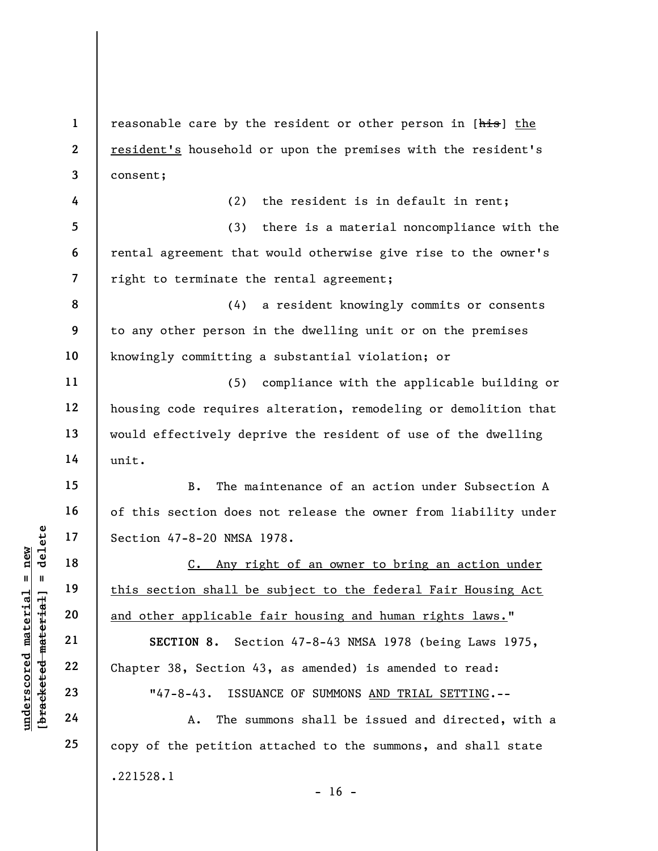1 2 3 reasonable care by the resident or other person in [his] the resident's household or upon the premises with the resident's consent;

(3) there is a material noncompliance with the rental agreement that would otherwise give rise to the owner's right to terminate the rental agreement;

(2) the resident is in default in rent;

8 9 10 (4) a resident knowingly commits or consents to any other person in the dwelling unit or on the premises knowingly committing a substantial violation; or

(5) compliance with the applicable building or housing code requires alteration, remodeling or demolition that would effectively deprive the resident of use of the dwelling unit.

B. The maintenance of an action under Subsection A of this section does not release the owner from liability under Section 47-8-20 NMSA 1978.

underscored material = new [bracketed material] = delete C. Any right of an owner to bring an action under this section shall be subject to the federal Fair Housing Act and other applicable fair housing and human rights laws."

SECTION 8. Section 47-8-43 NMSA 1978 (being Laws 1975, Chapter 38, Section 43, as amended) is amended to read:

"47-8-43. ISSUANCE OF SUMMONS AND TRIAL SETTING.--

A. The summons shall be issued and directed, with a copy of the petition attached to the summons, and shall state .221528.1  $- 16 -$ 

4

5

6

7

11

12

13

14

15

16

17

18

19

20

21

22

23

24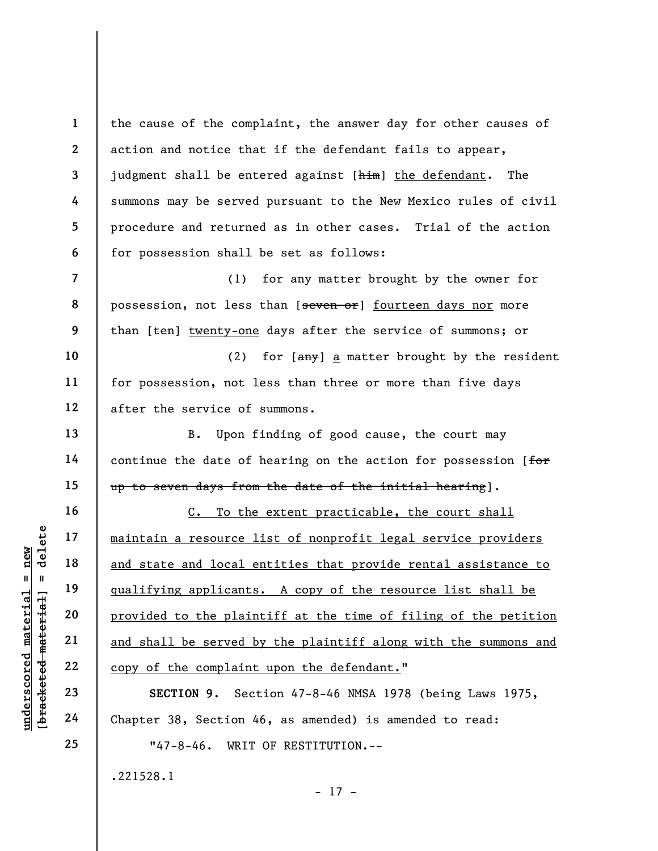underscored material = new [bracketed material] = delete 1 2 3 4 5 6 7 8 9 10 11 12 13 14 15 16 17 18 19 20 21 22 23 24 the cause of the complaint, the answer day for other causes of action and notice that if the defendant fails to appear, judgment shall be entered against [him] the defendant. The summons may be served pursuant to the New Mexico rules of civil procedure and returned as in other cases. Trial of the action for possession shall be set as follows: (1) for any matter brought by the owner for possession, not less than [seven or] fourteen days nor more than [ten] twenty-one days after the service of summons; or (2) for  $\lceil \frac{\text{any}}{\text{any}} \rceil$  a matter brought by the resident for possession, not less than three or more than five days after the service of summons. B. Upon finding of good cause, the court may continue the date of hearing on the action for possession [for up to seven days from the date of the initial hearing]. C. To the extent practicable, the court shall maintain a resource list of nonprofit legal service providers and state and local entities that provide rental assistance to qualifying applicants. A copy of the resource list shall be provided to the plaintiff at the time of filing of the petition and shall be served by the plaintiff along with the summons and copy of the complaint upon the defendant." SECTION 9. Section 47-8-46 NMSA 1978 (being Laws 1975, Chapter 38, Section 46, as amended) is amended to read:

"47-8-46. WRIT OF RESTITUTION.--

- 17 -

.221528.1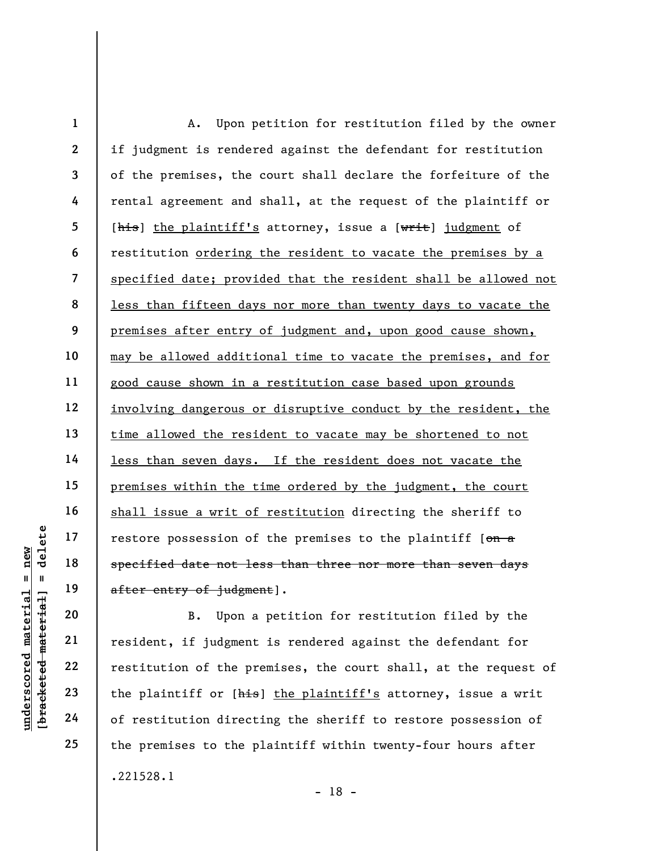1 2 3 4 5 6 7 8 9 10 11 12 13 14 15 16 17 18 19 A. Upon petition for restitution filed by the owner if judgment is rendered against the defendant for restitution of the premises, the court shall declare the forfeiture of the rental agreement and shall, at the request of the plaintiff or [his] the plaintiff's attorney, issue a [writ] judgment of restitution ordering the resident to vacate the premises by a specified date; provided that the resident shall be allowed not less than fifteen days nor more than twenty days to vacate the premises after entry of judgment and, upon good cause shown, may be allowed additional time to vacate the premises, and for good cause shown in a restitution case based upon grounds involving dangerous or disruptive conduct by the resident, the time allowed the resident to vacate may be shortened to not less than seven days. If the resident does not vacate the premises within the time ordered by the judgment, the court shall issue a writ of restitution directing the sheriff to restore possession of the premises to the plaintiff  $[ $\theta$ )]$ specified date not less than three nor more than seven days after entry of judgment].

underscored material = new [bracketed material] = delete B. Upon a petition for restitution filed by the resident, if judgment is rendered against the defendant for restitution of the premises, the court shall, at the request of the plaintiff or [his] the plaintiff's attorney, issue a writ of restitution directing the sheriff to restore possession of the premises to the plaintiff within twenty-four hours after .221528.1 - 18 -

20

21

22

23

24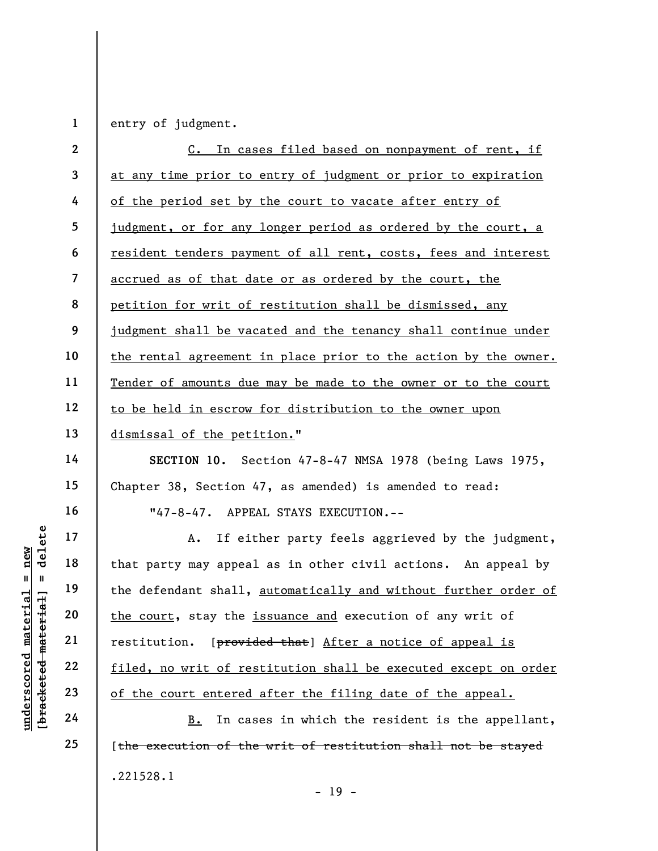entry of judgment.

1

|                                                         | $\mathbf{2}$             | C. In cases filed based on nonpayment of rent, if               |
|---------------------------------------------------------|--------------------------|-----------------------------------------------------------------|
|                                                         | 3                        | at any time prior to entry of judgment or prior to expiration   |
|                                                         | 4                        | of the period set by the court to vacate after entry of         |
|                                                         | 5                        | judgment, or for any longer period as ordered by the court, a   |
|                                                         | 6                        | resident tenders payment of all rent, costs, fees and interest  |
|                                                         | $\overline{\mathcal{L}}$ | accrued as of that date or as ordered by the court, the         |
|                                                         | 8                        | petition for writ of restitution shall be dismissed, any        |
|                                                         | 9                        | judgment shall be vacated and the tenancy shall continue under  |
|                                                         | 10                       | the rental agreement in place prior to the action by the owner. |
|                                                         | 11                       | Tender of amounts due may be made to the owner or to the court  |
|                                                         | 12                       | to be held in escrow for distribution to the owner upon         |
|                                                         | 13                       | dismissal of the petition."                                     |
|                                                         | 14                       | SECTION 10. Section 47-8-47 NMSA 1978 (being Laws 1975,         |
|                                                         | 15                       | Chapter 38, Section 47, as amended) is amended to read:         |
|                                                         | 16                       | "47-8-47. APPEAL STAYS EXECUTION.--                             |
| delete                                                  | 17                       | If either party feels aggrieved by the judgment,<br>Α.          |
| new                                                     | 18                       | that party may appeal as in other civil actions. An appeal by   |
| $\parallel$<br>- II                                     | 19                       | the defendant shall, automatically and without further order of |
| <u>rial</u><br>[4a]                                     | 20                       | the court, stay the issuance and execution of any writ of       |
| mate                                                    | 21                       | [provided that] After a notice of appeal is<br>restitution.     |
|                                                         | 22                       | filed, no writ of restitution shall be executed except on order |
|                                                         | 23                       | of the court entered after the filing date of the appeal.       |
| [ <del>bracketed mater</del><br>$\bm{{\rm underscore}}$ | 24                       | In cases in which the resident is the appellant,<br>B.          |
|                                                         | 25                       | [the execution of the writ of restitution shall not be stayed   |

.221528.1

- 19 -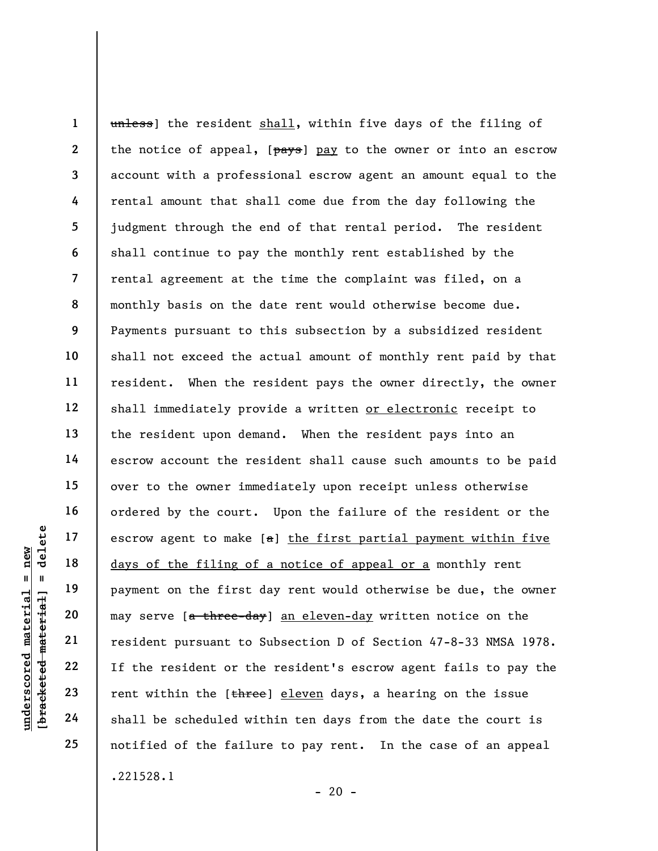underscored material = new [bracketed material] = delete 1 2 3 4 5 6 7 8 9 10 11 12 13 14 15 16 17 18 19 20 21 22 23 24 25 unless) the resident shall, within five days of the filing of the notice of appeal,  $[\frac{\text{day}}{\text{day}}]$  pay to the owner or into an escrow account with a professional escrow agent an amount equal to the rental amount that shall come due from the day following the judgment through the end of that rental period. The resident shall continue to pay the monthly rent established by the rental agreement at the time the complaint was filed, on a monthly basis on the date rent would otherwise become due. Payments pursuant to this subsection by a subsidized resident shall not exceed the actual amount of monthly rent paid by that resident. When the resident pays the owner directly, the owner shall immediately provide a written or electronic receipt to the resident upon demand. When the resident pays into an escrow account the resident shall cause such amounts to be paid over to the owner immediately upon receipt unless otherwise ordered by the court. Upon the failure of the resident or the escrow agent to make  $[a]$  the first partial payment within five days of the filing of a notice of appeal or a monthly rent payment on the first day rent would otherwise be due, the owner may serve [a three-day] an eleven-day written notice on the resident pursuant to Subsection D of Section 47-8-33 NMSA 1978. If the resident or the resident's escrow agent fails to pay the rent within the [three] eleven days, a hearing on the issue shall be scheduled within ten days from the date the court is notified of the failure to pay rent. In the case of an appeal .221528.1

 $- 20 -$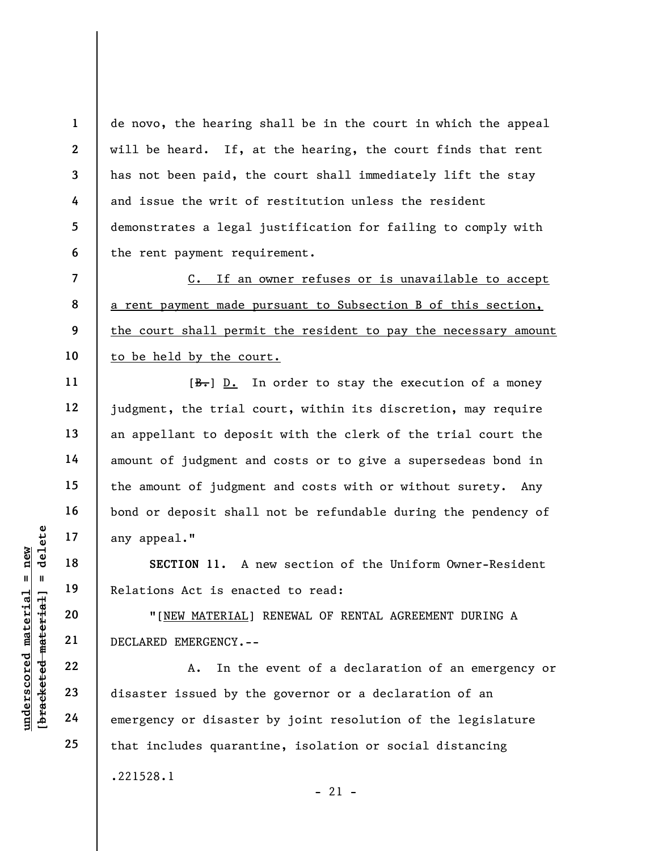3 de novo, the hearing shall be in the court in which the appeal will be heard. If, at the hearing, the court finds that rent has not been paid, the court shall immediately lift the stay and issue the writ of restitution unless the resident demonstrates a legal justification for failing to comply with the rent payment requirement.

C. If an owner refuses or is unavailable to accept a rent payment made pursuant to Subsection B of this section, the court shall permit the resident to pay the necessary amount to be held by the court.

 $[\frac{B-}{B}]$  D. In order to stay the execution of a money judgment, the trial court, within its discretion, may require an appellant to deposit with the clerk of the trial court the amount of judgment and costs or to give a supersedeas bond in the amount of judgment and costs with or without surety. Any bond or deposit shall not be refundable during the pendency of any appeal."

SECTION 11. A new section of the Uniform Owner-Resident Relations Act is enacted to read:

"[NEW MATERIAL] RENEWAL OF RENTAL AGREEMENT DURING A DECLARED EMERGENCY.--

UN EXECTION 11. A 1<br>
19 18 SECTION 11. A 1<br>
19 Relations Act is enac<br>
20 "[NEW MATERIAL]<br>
22 22<br>
23 23 disaster issued by the<br>
24 emergency or disaster A. In the event of a declaration of an emergency or disaster issued by the governor or a declaration of an emergency or disaster by joint resolution of the legislature that includes quarantine, isolation or social distancing .221528.1  $- 21 -$ 

1

2

4

5

6

7

8

9

10

11

12

13

14

15

16

17

18

19

20

21

22

23

24